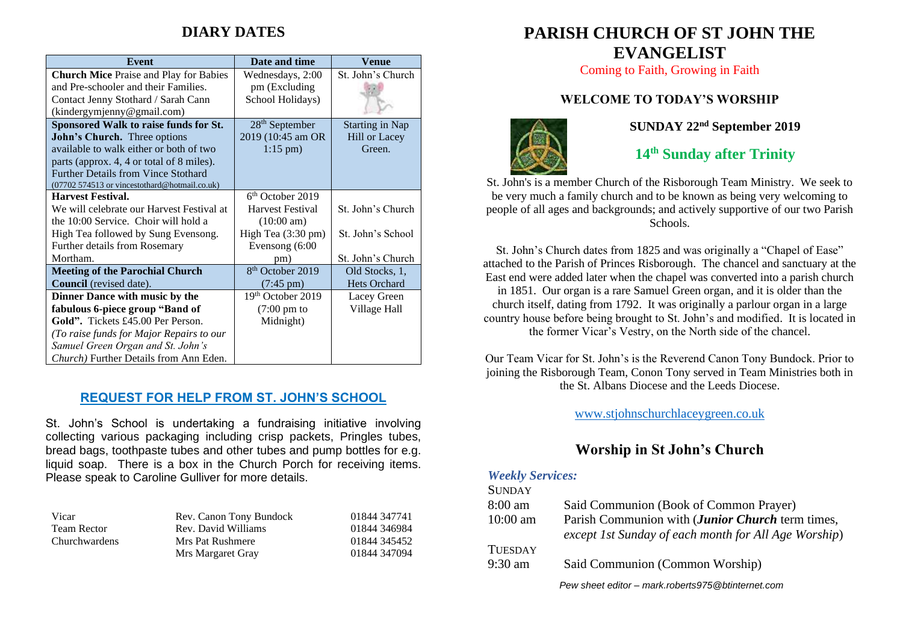# **DIARY DATES**

| <b>Event</b>                                   | Date and time                | Venue                  |
|------------------------------------------------|------------------------------|------------------------|
| <b>Church Mice Praise and Play for Babies</b>  | Wednesdays, 2:00             | St. John's Church      |
| and Pre-schooler and their Families.           | pm (Excluding)               |                        |
| Contact Jenny Stothard / Sarah Cann            | School Holidays)             |                        |
| (kindergymjenny@gmail.com)                     |                              |                        |
| Sponsored Walk to raise funds for St.          | $28th$ September             | <b>Starting in Nap</b> |
| John's Church. Three options                   | 2019 (10:45 am OR            | <b>Hill or Lacey</b>   |
| available to walk either or both of two        | $1:15 \text{ pm}$ )          | Green.                 |
| parts (approx. 4, 4 or total of 8 miles).      |                              |                        |
| <b>Further Details from Vince Stothard</b>     |                              |                        |
| (07702 574513 or vincestothard@hotmail.co.uk)  |                              |                        |
| <b>Harvest Festival.</b>                       | $6th$ October 2019           |                        |
| We will celebrate our Harvest Festival at      | Harvest Festival             | St. John's Church      |
| the 10:00 Service. Choir will hold a           | $(10:00 \text{ am})$         |                        |
| High Tea followed by Sung Evensong.            | High Tea (3:30 pm)           | St. John's School      |
| Further details from Rosemary                  | Evensong (6:00               |                        |
| Mortham.                                       | pm)                          | St. John's Church      |
| <b>Meeting of the Parochial Church</b>         | 8 <sup>th</sup> October 2019 | Old Stocks, 1,         |
| <b>Council</b> (revised date).                 | $(7:45 \text{ pm})$          | Hets Orchard           |
| Dinner Dance with music by the                 | 19th October 2019            | Lacey Green            |
| fabulous 6-piece group "Band of                | $(7:00 \text{ pm to})$       | Village Hall           |
| Gold". Tickets £45.00 Per Person.              | Midnight)                    |                        |
| (To raise funds for Major Repairs to our       |                              |                        |
| Samuel Green Organ and St. John's              |                              |                        |
| <i>Church</i> ) Further Details from Ann Eden. |                              |                        |

#### **REQUEST FOR HELP FROM ST. JOHN'S SCHOOL**

St. John's School is undertaking a fundraising initiative involving collecting various packaging including crisp packets, Pringles tubes, bread bags, toothpaste tubes and other tubes and pump bottles for e.g. liquid soap. There is a box in the Church Porch for receiving items. Please speak to Caroline Gulliver for more details.

| Vicar                | Rev. Canon Tony Bundock | 01844 347741 |
|----------------------|-------------------------|--------------|
| <b>Team Rector</b>   | Rev. David Williams     | 01844 346984 |
| <b>Churchwardens</b> | Mrs Pat Rushmere        | 01844 345452 |
|                      | Mrs Margaret Gray       | 01844 347094 |

# **PARISH CHURCH OF ST JOHN THE EVANGELIST**

Coming to Faith, Growing in Faith

### **WELCOME TO TODAY'S WORSHIP**



**SUNDAY 22nd September 2019**

**14 th Sunday after Trinity**

St. John's is a member Church of the Risborough Team Ministry. We seek to be very much a family church and to be known as being very welcoming to people of all ages and backgrounds; and actively supportive of our two Parish Schools.

St. John's Church dates from 1825 and was originally a "Chapel of Ease" attached to the Parish of Princes Risborough. The chancel and sanctuary at the East end were added later when the chapel was converted into a parish church in 1851. Our organ is a rare Samuel Green organ, and it is older than the church itself, dating from 1792. It was originally a parlour organ in a large country house before being brought to St. John's and modified. It is located in the former Vicar's Vestry, on the North side of the chancel.

Our Team Vicar for St. John's is the Reverend Canon Tony Bundock. Prior to joining the Risborough Team, Conon Tony served in Team Ministries both in the St. Albans Diocese and the Leeds Diocese.

[www.stjohnschurchlaceygreen.co.uk](http://www.stjohnschurchlaceygreen.co.uk/)

## **Worship in St John's Church**

#### *Weekly Services:*  $S$ <sub>UND</sub> $\overline{S}$

| <b>SUNDAY</b>     |                                                                                                                  |
|-------------------|------------------------------------------------------------------------------------------------------------------|
| $8:00 \text{ am}$ | Said Communion (Book of Common Prayer)                                                                           |
| $10:00$ am        | Parish Communion with ( <i>Junior Church</i> term times,<br>except 1st Sunday of each month for All Age Worship) |
| <b>TUESDAY</b>    |                                                                                                                  |
| $9:30$ am         | Said Communion (Common Worship)                                                                                  |
|                   | Pew sheet editor - mark.roberts975@btinternet.com                                                                |